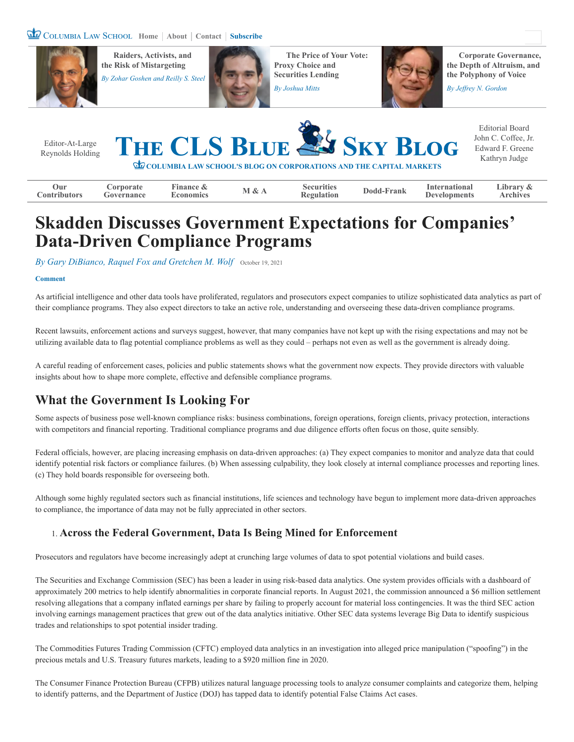



**Securities Lending the Polyphony of Voice** *By [Zohar Goshen](https://clsbluesky.law.columbia.edu/author/zohar-goshen/) and [Reilly S. Steel](https://clsbluesky.law.columbia.edu/author/reilly-s-steel/)* **<b>and** *Reilly S. Steel* **Securities Lending** 



**Raiders, Activists, and <b>[The Price of Your Vote:](https://clsbluesky.law.columbia.edu/2021/10/11/the-price-of-your-vote-proxy-choice-and-securities-lending/) Corporate Governance, [the Risk of Mistargeting](https://clsbluesky.law.columbia.edu/2021/10/19/raiders-activists-and-the-risk-of-mistargeting/) <b>Proxy Choice and Proxy Choice and [the Depth of Altruism, and](https://clsbluesky.law.columbia.edu/2021/07/27/corporate-governance-the-depth-of-altruism-and-the-polyphony-of-voice/)** 



# **Skadden Discusses Government Expectations for Companies' Data-Driven Compliance Programs**

*By [Gary DiBianco, Raquel Fox and Gretchen M. Wolf](https://clsbluesky.law.columbia.edu/author/gary-dibianco-raquel-fox-and-gretchen-m-wolf/)* [October 19, 2021](https://clsbluesky.law.columbia.edu/2021/10/19/skadden-discusses-government-expectations-for-companies-data-driven-compliance-programs/)

#### **[Comment](#page-2-0)**

As artificial intelligence and other data tools have proliferated, regulators and prosecutors expect companies to utilize sophisticated data analytics as part of their compliance programs. They also expect directors to take an active role, understanding and overseeing these data-driven compliance programs.

Recent lawsuits, enforcement actions and surveys suggest, however, that many companies have not kept up with the rising expectations and may not be utilizing available data to flag potential compliance problems as well as they could – perhaps not even as well as the government is already doing.

A careful reading of enforcement cases, policies and public statements shows what the government now expects. They provide directors with valuable insights about how to shape more complete, effective and defensible compliance programs.

### **What the Government Is Looking For**

Some aspects of business pose well-known compliance risks: business combinations, foreign operations, foreign clients, privacy protection, interactions with competitors and financial reporting. Traditional compliance programs and due diligence efforts often focus on those, quite sensibly.

Federal officials, however, are placing increasing emphasis on data-driven approaches: (a) They expect companies to monitor and analyze data that could identify potential risk factors or compliance failures. (b) When assessing culpability, they look closely at internal compliance processes and reporting lines. (c) They hold boards responsible for overseeing both.

Although some highly regulated sectors such as financial institutions, life sciences and technology have begun to implement more data-driven approaches to compliance, the importance of data may not be fully appreciated in other sectors.

### 1. **Across the Federal Government, Data Is Being Mined for Enforcement**

Prosecutors and regulators have become increasingly adept at crunching large volumes of data to spot potential violations and build cases.

The Securities and Exchange Commission (SEC) has been a leader in using risk-based data analytics. One system provides officials with a dashboard of approximately 200 metrics to help identify abnormalities in corporate financial reports. In August 2021, the commission announced a \$6 million settlement resolving allegations that a company inflated earnings per share by failing to properly account for material loss contingencies. It was the third SEC action involving earnings management practices that grew out of the data analytics initiative. Other SEC data systems leverage Big Data to identify suspicious trades and relationships to spot potential insider trading.

The Commodities Futures Trading Commission (CFTC) employed data analytics in an investigation into alleged price manipulation ("spoofing") in the precious metals and U.S. Treasury futures markets, leading to a \$920 million fine in 2020.

The Consumer Finance Protection Bureau (CFPB) utilizes natural language processing tools to analyze consumer complaints and categorize them, helping to identify patterns, and the Department of Justice (DOJ) has tapped data to identify potential False Claims Act cases.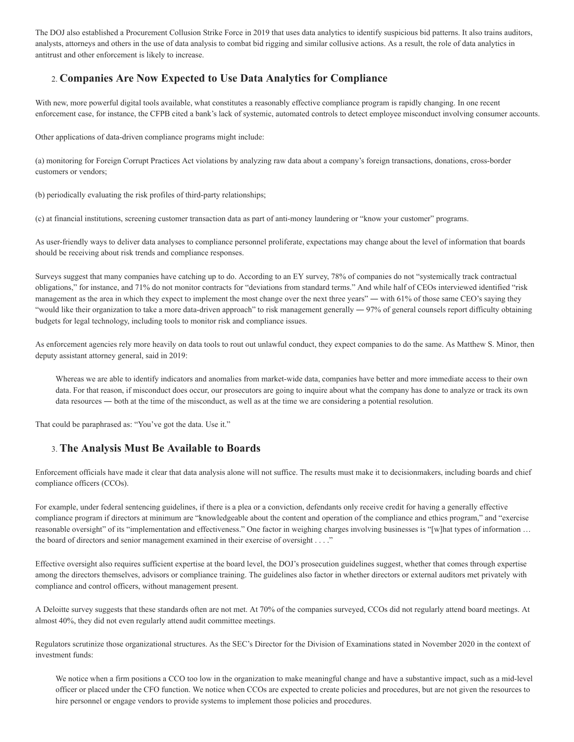The DOJ also established a Procurement Collusion Strike Force in 2019 that uses data analytics to identify suspicious bid patterns. It also trains auditors, analysts, attorneys and others in the use of data analysis to combat bid rigging and similar collusive actions. As a result, the role of data analytics in antitrust and other enforcement is likely to increase.

### 2. **Companies Are Now Expected to Use Data Analytics for Compliance**

With new, more powerful digital tools available, what constitutes a reasonably effective compliance program is rapidly changing. In one recent enforcement case, for instance, the CFPB cited a bank's lack of systemic, automated controls to detect employee misconduct involving consumer accounts.

Other applications of data-driven compliance programs might include:

(a) monitoring for Foreign Corrupt Practices Act violations by analyzing raw data about a company's foreign transactions, donations, cross-border customers or vendors;

(b) periodically evaluating the risk profiles of third-party relationships;

(c) at financial institutions, screening customer transaction data as part of anti-money laundering or "know your customer" programs.

As user-friendly ways to deliver data analyses to compliance personnel proliferate, expectations may change about the level of information that boards should be receiving about risk trends and compliance responses.

Surveys suggest that many companies have catching up to do. According to an EY survey, 78% of companies do not "systemically track contractual obligations," for instance, and 71% do not monitor contracts for "deviations from standard terms." And while half of CEOs interviewed identified "risk management as the area in which they expect to implement the most change over the next three years" — with 61% of those same CEO's saying they "would like their organization to take a more data-driven approach" to risk management generally — 97% of general counsels report difficulty obtaining budgets for legal technology, including tools to monitor risk and compliance issues.

As enforcement agencies rely more heavily on data tools to rout out unlawful conduct, they expect companies to do the same. As Matthew S. Minor, then deputy assistant attorney general, said in 2019:

Whereas we are able to identify indicators and anomalies from market-wide data, companies have better and more immediate access to their own data. For that reason, if misconduct does occur, our prosecutors are going to inquire about what the company has done to analyze or track its own data resources ― both at the time of the misconduct, as well as at the time we are considering a potential resolution.

That could be paraphrased as: "You've got the data. Use it."

#### 3. **The Analysis Must Be Available to Boards**

Enforcement officials have made it clear that data analysis alone will not suffice. The results must make it to decisionmakers, including boards and chief compliance officers (CCOs).

For example, under federal sentencing guidelines, if there is a plea or a conviction, defendants only receive credit for having a generally effective compliance program if directors at minimum are "knowledgeable about the content and operation of the compliance and ethics program," and "exercise reasonable oversight" of its "implementation and effectiveness." One factor in weighing charges involving businesses is "[w]hat types of information ... the board of directors and senior management examined in their exercise of oversight . . . ."

Effective oversight also requires sufficient expertise at the board level, the DOJ's prosecution guidelines suggest, whether that comes through expertise among the directors themselves, advisors or compliance training. The guidelines also factor in whether directors or external auditors met privately with compliance and control officers, without management present.

A Deloitte survey suggests that these standards often are not met. At 70% of the companies surveyed, CCOs did not regularly attend board meetings. At almost 40%, they did not even regularly attend audit committee meetings.

Regulators scrutinize those organizational structures. As the SEC's Director for the Division of Examinations stated in November 2020 in the context of investment funds:

We notice when a firm positions a CCO too low in the organization to make meaningful change and have a substantive impact, such as a mid-level officer or placed under the CFO function. We notice when CCOs are expected to create policies and procedures, but are not given the resources to hire personnel or engage vendors to provide systems to implement those policies and procedures.